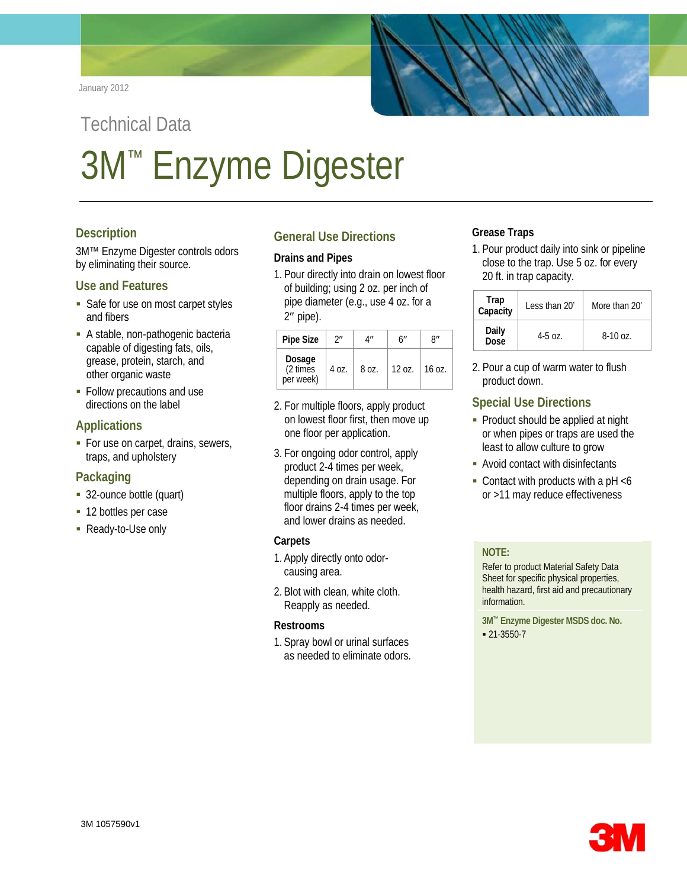

# Technical Data 3M™ Enzyme Digester

# **Description**

3M™ Enzyme Digester controls odors by eliminating their source.

## **Use and Features**

- Safe for use on most carpet styles and fibers
- A stable, non-pathogenic bacteria capable of digesting fats, oils, grease, protein, starch, and other organic waste
- **Follow precautions and use** directions on the label

# **Applications**

For use on carpet, drains, sewers, traps, and upholstery

## **Packaging**

- 32-ounce bottle (quart)
- 12 bottles per case
- Ready-to-Use only

# **General Use Directions**

#### **Drains and Pipes**

1. Pour directly into drain on lowest floor of building; using 2 oz. per inch of pipe diameter (e.g., use 4 oz. for a 2″ pipe).

| <b>Pipe Size</b>                | ን"    | 4″    | 6″       | R''    |
|---------------------------------|-------|-------|----------|--------|
| Dosage<br>(2 times<br>per week) | 4 oz. | 8 oz. | $120z$ . | 16 oz. |

- 2. For multiple floors, apply product on lowest floor first, then move up one floor per application.
- 3. For ongoing odor control, apply product 2-4 times per week, depending on drain usage. For multiple floors, apply to the top floor drains 2-4 times per week, and lower drains as needed.

#### **Carpets**

- 1. Apply directly onto odorcausing area.
- 2. Blot with clean, white cloth. Reapply as needed.

#### **Restrooms**

1. Spray bowl or urinal surfaces as needed to eliminate odors.

## **Grease Traps**

1. Pour product daily into sink or pipeline close to the trap. Use 5 oz. for every 20 ft. in trap capacity.

| Trap<br>Capacity | Less than 20' | More than 20' |  |
|------------------|---------------|---------------|--|
| Daily<br>Dose    | $4 - 50z$     | $8-10$ oz.    |  |

2. Pour a cup of warm water to flush product down.

# **Special Use Directions**

- Product should be applied at night or when pipes or traps are used the least to allow culture to grow
- Avoid contact with disinfectants
- Contact with products with a  $pH < 6$ or >11 may reduce effectiveness

## **NOTE:**

Refer to product Material Safety Data Sheet for specific physical properties, health hazard, first aid and precautionary information.

**3M™ Enzyme Digester MSDS doc. No.**  $-21-3550-7$